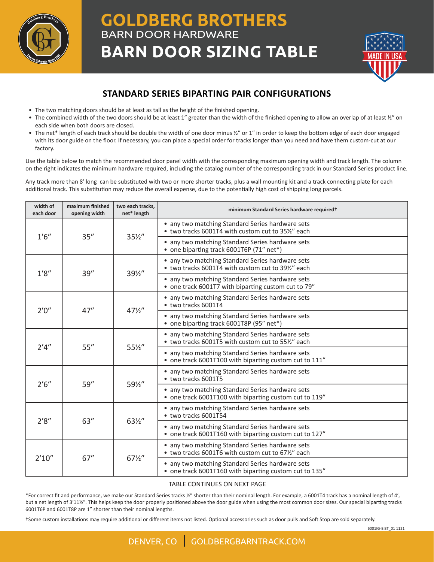

## **GOLDBERG BROTHERS** BARN DOOR HARDWARE **BARN DOOR SIZING TABLE**



## **STANDARD SERIES BIPARTING PAIR CONFIGURATIONS**

- The two matching doors should be at least as tall as the height of the finished opening.
- The combined width of the two doors should be at least 1" greater than the width of the finished opening to allow an overlap of at least  $\frac{y}{n}$  on each side when both doors are closed.
- The net\* length of each track should be double the width of one door minus ½" or 1" in order to keep the bottom edge of each door engaged with its door guide on the floor. If necessary, you can place a special order for tracks longer than you need and have them custom-cut at our factory.

Use the table below to match the recommended door panel width with the corresponding maximum opening width and track length. The column on the right indicates the minimum hardware required, including the catalog number of the corresponding track in our Standard Series product line.

Any track more than 8ʹ long can be substituted with two or more shorter tracks, plus a wall mounting kit and a track connecting plate for each additional track. This substitution may reduce the overall expense, due to the potentially high cost of shipping long parcels.

| width of<br>each door | maximum finished<br>opening width | two each tracks,<br>net* length | minimum Standard Series hardware required <sup>+</sup>                                                     |
|-----------------------|-----------------------------------|---------------------------------|------------------------------------------------------------------------------------------------------------|
| 1'6''                 | 35''                              | $35\frac{1}{2}$                 | • any two matching Standard Series hardware sets<br>• two tracks 6001T4 with custom cut to 35½" each       |
|                       |                                   |                                 | • any two matching Standard Series hardware sets<br>• one biparting track 6001T6P (71" net*)               |
| 1'8''                 | 39''                              | 391/2"                          | • any two matching Standard Series hardware sets<br>• two tracks 6001T4 with custom cut to 39%" each       |
|                       |                                   |                                 | • any two matching Standard Series hardware sets<br>• one track 6001T7 with biparting custom cut to 79"    |
| 2'0''                 | 47''                              | $47\frac{1}{2}$                 | • any two matching Standard Series hardware sets<br>• two tracks 6001T4                                    |
|                       |                                   |                                 | • any two matching Standard Series hardware sets<br>• one biparting track 6001T8P (95" net*)               |
| 2'4''                 | 55''                              | 55½"                            | • any two matching Standard Series hardware sets<br>• two tracks 6001T5 with custom cut to 55%" each       |
|                       |                                   |                                 | • any two matching Standard Series hardware sets<br>• one track 6001T100 with biparting custom cut to 111" |
| 2'6''                 | 59''                              | 591/2"                          | • any two matching Standard Series hardware sets<br>• two tracks 6001T5                                    |
|                       |                                   |                                 | • any two matching Standard Series hardware sets<br>• one track 6001T100 with biparting custom cut to 119" |
| 2'8''                 | 63''                              | 63½"                            | • any two matching Standard Series hardware sets<br>• two tracks 6001T54                                   |
|                       |                                   |                                 | • any two matching Standard Series hardware sets<br>• one track 6001T160 with biparting custom cut to 127" |
| 2'10''                | 67''                              | $67\frac{1}{2}$                 | • any two matching Standard Series hardware sets<br>• two tracks 6001T6 with custom cut to 671/2" each     |
|                       |                                   |                                 | any two matching Standard Series hardware sets<br>• one track 6001T160 with biparting custom cut to 135"   |

## TABLE CONTINUES ON NEXT PAGE

\*For correct fit and performance, we make our Standard Series tracks ½ʺ shorter than their nominal length. For example, a 6001T4 track has a nominal length of 4ʹ, but a net length of 3'11½". This helps keep the door properly positioned above the door guide when using the most common door sizes. Our special biparting tracks 6001T6P and 6001T8P are 1" shorter than their nominal lengths.

†Some custom installations may require additional or different items not listed. Optional accessories such as door pulls and Soft Stop are sold separately.